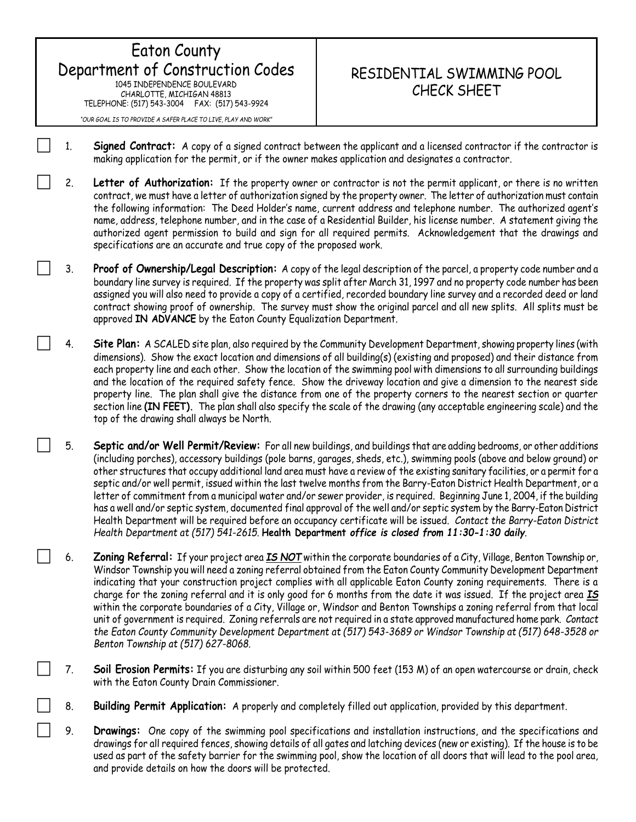Eaton County Department of Construction Codes 1045 INDEPENDENCE BOULEVARD CHARLOTTE, MICHIGAN 48813 TELEPHONE: (517) 543-3004 FAX: (517) 543-9924 *"OUR GOAL IS TO PROVIDE A SAFER PLACE TO LIVE, PLAY AND WORK"*

## RESIDENTIAL SWIMMING POOL CHECK SHEET

- 1. **Signed Contract:** A copy of a signed contract between the applicant and a licensed contractor if the contractor is making application for the permit, or if the owner makes application and designates a contractor.
- 2. **Letter of Authorization:** If the property owner or contractor is not the permit applicant, or there is no written contract, we must have a letter of authorization signed by the property owner. The letter of authorization must contain the following information: The Deed Holder's name, current address and telephone number. The authorized agent's name, address, telephone number, and in the case of a Residential Builder, his license number. A statement giving the authorized agent permission to build and sign for all required permits. Acknowledgement that the drawings and specifications are an accurate and true copy of the proposed work.
- 3. **Proof of Ownership/Legal Description:** A copy of the legal description of the parcel, a property code number and a boundary line survey is required. If the property was split after March 31, 1997 and no property code number has been assigned you will also need to provide a copy of a certified, recorded boundary line survey and a recorded deed or land contract showing proof of ownership. The survey must show the original parcel and all new splits. All splits must be approved **IN ADVANCE** by the Eaton County Equalization Department.
- 4. **Site Plan:** A SCALED site plan, also required by the Community Development Department, showing property lines (with dimensions). Show the exact location and dimensions of all building(s) (existing and proposed) and their distance from each property line and each other. Show the location of the swimming pool with dimensions to all surrounding buildings and the location of the required safety fence. Show the driveway location and give a dimension to the nearest side property line. The plan shall give the distance from one of the property corners to the nearest section or quarter section line **(IN FEET).** The plan shall also specify the scale of the drawing (any acceptable engineering scale) and the top of the drawing shall always be North.
- 5. **Septic and/or Well Permit/Review:** For all new buildings, and buildings that are adding bedrooms, or other additions (including porches), accessory buildings (pole barns, garages, sheds, etc.), swimming pools (above and below ground) or other structures that occupy additional land area must have a review of the existing sanitary facilities, or a permit for a septic and/or well permit, issued within the last twelve months from the Barry-Eaton District Health Department, or a letter of commitment from a municipal water and/or sewer provider, is required. Beginning June 1, 2004, if the building has a well and/or septic system, documented final approval of the well and/or septic system by the Barry-Eaton District Health Department will be required before an occupancy certificate will be issued. *Contact the Barry-Eaton District Health Department at (517) 541-2615.* **Health Department** *office is closed from 11:30-1:30 daily.*
- 6. **Zoning Referral:** If your project area *IS NOT* within the corporate boundaries of a City, Village, Benton Township or, Windsor Township you will need a zoning referral obtained from the Eaton County Community Development Department indicating that your construction project complies with all applicable Eaton County zoning requirements. There is a charge for the zoning referral and it is only good for 6 months from the date it was issued. If the project area *IS* within the corporate boundaries of a City, Village or, Windsor and Benton Townships a zoning referral from that local unit of government is required. Zoning referrals are not required in a state approved manufactured home park. *Contact the Eaton County Community Development Department at (517) 543-3689 or Windsor Township at (517) 648-3528 or Benton Township at (517) 627-8068.*
- 7. **Soil Erosion Permits:** If you are disturbing any soil within 500 feet (153 M) of an open watercourse or drain, check with the Eaton County Drain Commissioner.
- 8. **Building Permit Application:** A properly and completely filled out application, provided by this department.
- 9. **Drawings:** One copy of the swimming pool specifications and installation instructions, and the specifications and drawings for all required fences, showing details of all gates and latching devices (new or existing). If the house is to be used as part of the safety barrier for the swimming pool, show the location of all doors that will lead to the pool area, and provide details on how the doors will be protected.